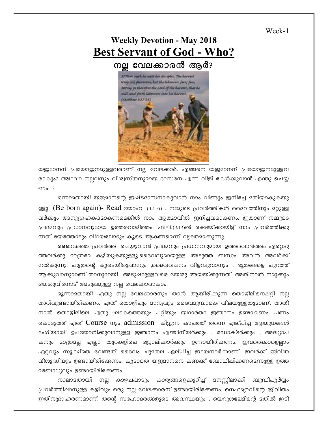Week-1

## **Weekly Devotion - May 2018 Best Servant of God - Who?**

നല്ല വേലക്കാരൻ ആർ?



യജമാനന് പ്രയോജനമുള്ളവരാണ് നല്ല വേലക്കാർ. എങ്ങനെ യജമാനന് പ്രയോജനമുള്ളവ രാകും? അഥവാ നല്ലവനും വിശ്വസ്തനുമായ ദാസനേ എന്ന വിളി കേൾക്കുവാൻ എന്തു ചെയ്യ ണം. ?

ഒന്നാമതായി യജമാനന്റെ ഇഷ്ടദാസനാകുവാൻ നാം വീണ്ടും ജനിച്ചേ മതിയാകുകയു ള്ളൂ. (Be born again)- Read യോഹ: (3:1-6) . നമ്മുടെ പ്രവർത്തികൾ ദൈവത്തിനും മറ്റുള്ള വർക്കും അനുഗ്രഹകരമാകണമെങ്കിൽ നാം ആത്മാവിൽ ജനിച്ചവരാകണം. ഇതാണ് നമ്മുടെ (പഥാവും പ്രധാനവുമായ ഉത്തരവാദിത്തം. ഫിലി:(2:12)ൽ രക്ഷയ്ക്കായിട്ട് നാം പ്രവർത്തിക്കു ന്നത് ഭയത്തോടും വിറയലോടും കൂടെ ആകണമെന്ന് വ്യക്തമാക്കുന്നു.

രണ്ടാമത്തെ പ്രവർത്തി ചെയ്യുവാൻ പ്രഥമവും പ്രധാനവുമായ ഉത്തരവാദിത്തം ഏറ്റെടു ത്തവർക്കു മാത്രമേ കഴിയുകയുള്ളൂ.ദൈവവുമായുള്ള അടുത്ത ബന്ധം അവൻ അവർക്ക് നൽകുന്നു. പുത്രന്റെ കൂടെയിരുഷാനും ,ദൈവവചനം വിളമ്പുവാനും , ഭൂതങ്ങളെ പുറത്ത് ആക്കുവാനുമാണ് താനുമായി അടുഷമുള്ളവരെ യേശു അയയ്ക്കുന്നത്. അതിനാൽ നമുകും യേശുവിനോട് അടുഷമുള്ള നല്ല വേലക്കാരാകാം.

മൂന്നാമതായി ഏതു നല്ല വേലകാരനും താൻ ആയിരിക്കുന്ന തൊഴിലിനെഷറ്റി ന<u>ല</u> അറിവുണ്ടായിരിക്കണം. ഏത് തൊഴിലും മാന്യവും ദൈവമുമ്പാകെ വിലയുള്ളതുമാണ്. അതി നാൽ തൊഴിലിലെ ഏതു ഘടകത്തെയും പറ്റിയും യഥാർത്ഥ ഇഞാനം ഉണ്ടാകണം. പണം കൊടുത്ത് ഏത്  $\rm{Course}$  നും  $\rm{admission}$  കിട്ടുന്ന കാലത്ത് തന്നെ ഏല്പിച്ച ആയുധങ്ങൾ ഭംഗിയായി ഉപയോഗിക്കുവാനുള്ള ഇഞാനം എഞ്ചിനീയർക്കും . ഡോക്ടർക്കും , അദ്ധ്യാപ കനും മാത്രമല എലാ തുറകളിലെ ജോലിക്കാർക്കും ഉണ്ടായിരിക്കണം. ഇവരെക്കാളെല്<del>ടാം</del> ഏറ്റവും സൂക്ഷ്മത വേണ്ടത് ദൈവം ചുമതല ഏല്പിച്ച ഇടയന്മാർക്കാണ്. ഇവർക്ക് ജീവിത വിശുദ്ധിയും ഉണ്ടായിരിക്കേണം. കൂടാതെ യജമാനനെ കണക്ക് ബോധിഷിക്കണമെന്നുള്ള ഉത്ത  $2$ ബോധ്യവും ഉണ്ടായിരിക്കേണം.

നാലാമതായി നല്ല കാഴ്ചപ്പാടും കാര്യങ്ങളെക്കുറിച്ച് മനസ്സിലാക്കി ബുദ്ധിപൂർവ്വം  $\alpha$ പവർത്തിഷാനുള്ള കഴിവും ഒരു നല വേലക്കാരന് ഉണ്ടായിരിക്കേണം. നെഹമ്യാവിന്റെ ജീവിതം ഇതിനുദാഹരണമാണ്. തന്റെ സഹോദരങ്ങളുടെ അവസ്ഥയും , യെറുശലേമിന്റെ മതിൽ ഇടി